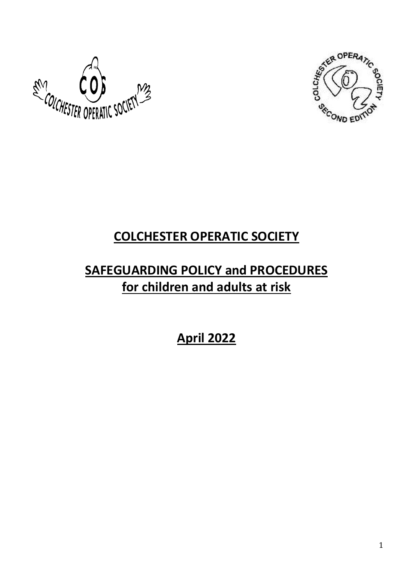



# **COLCHESTER OPERATIC SOCIETY**

# **SAFEGUARDING POLICY and PROCEDURES for children and adults at risk**

**April 2022**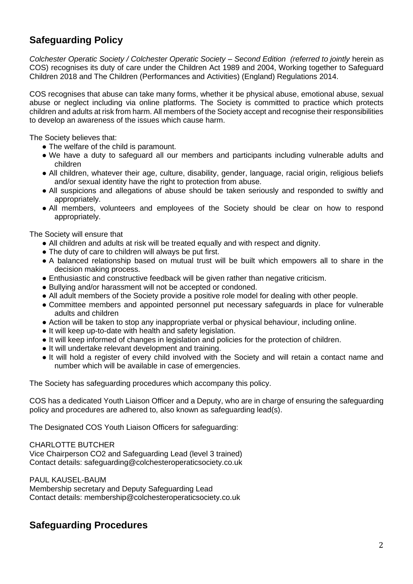# **Safeguarding Policy**

*Colchester Operatic Society / Colchester Operatic Society – Second Edition (referred to jointly* herein as COS) recognises its duty of care under the Children Act 1989 and 2004, Working together to Safeguard Children 2018 and The Children (Performances and Activities) (England) Regulations 2014.

COS recognises that abuse can take many forms, whether it be physical abuse, emotional abuse, sexual abuse or neglect including via online platforms. The Society is committed to practice which protects children and adults at risk from harm. All members of the Society accept and recognise their responsibilities to develop an awareness of the issues which cause harm.

The Society believes that:

- The welfare of the child is paramount.
- We have a duty to safeguard all our members and participants including vulnerable adults and children
- All children, whatever their age, culture, disability, gender, language, racial origin, religious beliefs and/or sexual identity have the right to protection from abuse.
- All suspicions and allegations of abuse should be taken seriously and responded to swiftly and appropriately.
- All members, volunteers and employees of the Society should be clear on how to respond appropriately.

The Society will ensure that

- All children and adults at risk will be treated equally and with respect and dignity.
- The duty of care to children will always be put first.
- A balanced relationship based on mutual trust will be built which empowers all to share in the decision making process.
- Enthusiastic and constructive feedback will be given rather than negative criticism.
- Bullying and/or harassment will not be accepted or condoned.
- All adult members of the Society provide a positive role model for dealing with other people.
- Committee members and appointed personnel put necessary safeguards in place for vulnerable adults and children
- Action will be taken to stop any inappropriate verbal or physical behaviour, including online.
- It will keep up-to-date with health and safety legislation.
- It will keep informed of changes in legislation and policies for the protection of children.
- It will undertake relevant development and training.
- It will hold a register of every child involved with the Society and will retain a contact name and number which will be available in case of emergencies.

The Society has safeguarding procedures which accompany this policy.

COS has a dedicated Youth Liaison Officer and a Deputy, who are in charge of ensuring the safeguarding policy and procedures are adhered to, also known as safeguarding lead(s).

The Designated COS Youth Liaison Officers for safeguarding:

#### CHARLOTTE BUTCHER

Vice Chairperson CO2 and Safeguarding Lead (level 3 trained) Contact details: safeguarding@colchesteroperaticsociety.co.uk

PAUL KAUSEL-BAUM

Membership secretary and Deputy Safeguarding Lead Contact details: membership@colchesteroperaticsociety.co.uk

# **Safeguarding Procedures**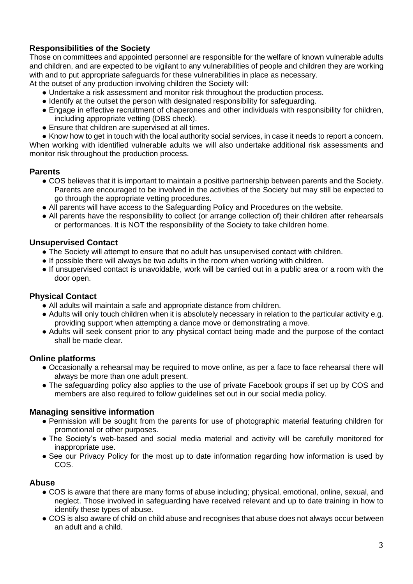# **Responsibilities of the Society**

Those on committees and appointed personnel are responsible for the welfare of known vulnerable adults and children, and are expected to be vigilant to any vulnerabilities of people and children they are working with and to put appropriate safeguards for these vulnerabilities in place as necessary.

At the outset of any production involving children the Society will:

- Undertake a risk assessment and monitor risk throughout the production process.
- Identify at the outset the person with designated responsibility for safeguarding.
- Engage in effective recruitment of chaperones and other individuals with responsibility for children, including appropriate vetting (DBS check).
- Ensure that children are supervised at all times.
- Know how to get in touch with the local authority social services, in case it needs to report a concern.

When working with identified vulnerable adults we will also undertake additional risk assessments and monitor risk throughout the production process.

#### **Parents**

- COS believes that it is important to maintain a positive partnership between parents and the Society. Parents are encouraged to be involved in the activities of the Society but may still be expected to go through the appropriate vetting procedures.
- All parents will have access to the Safeguarding Policy and Procedures on the website.
- All parents have the responsibility to collect (or arrange collection of) their children after rehearsals or performances. It is NOT the responsibility of the Society to take children home.

#### **Unsupervised Contact**

- The Society will attempt to ensure that no adult has unsupervised contact with children.
- If possible there will always be two adults in the room when working with children.
- If unsupervised contact is unavoidable, work will be carried out in a public area or a room with the door open.

#### **Physical Contact**

- All adults will maintain a safe and appropriate distance from children.
- Adults will only touch children when it is absolutely necessary in relation to the particular activity e.g. providing support when attempting a dance move or demonstrating a move.
- Adults will seek consent prior to any physical contact being made and the purpose of the contact shall be made clear.

#### **Online platforms**

- Occasionally a rehearsal may be required to move online, as per a face to face rehearsal there will always be more than one adult present.
- The safeguarding policy also applies to the use of private Facebook groups if set up by COS and members are also required to follow guidelines set out in our social media policy.

#### **Managing sensitive information**

- Permission will be sought from the parents for use of photographic material featuring children for promotional or other purposes.
- The Society's web-based and social media material and activity will be carefully monitored for inappropriate use.
- See our Privacy Policy for the most up to date information regarding how information is used by COS.

#### **Abuse**

- COS is aware that there are many forms of abuse including; physical, emotional, online, sexual, and neglect. Those involved in safeguarding have received relevant and up to date training in how to identify these types of abuse.
- COS is also aware of child on child abuse and recognises that abuse does not always occur between an adult and a child.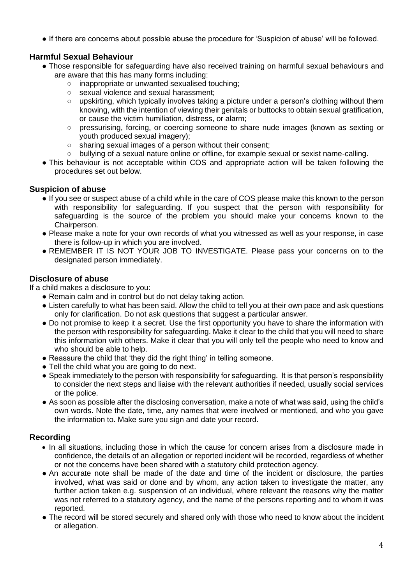● If there are concerns about possible abuse the procedure for 'Suspicion of abuse' will be followed.

# **Harmful Sexual Behaviour**

- Those responsible for safeguarding have also received training on harmful sexual behaviours and are aware that this has many forms including:
	- inappropriate or unwanted sexualised touching;
	- sexual violence and sexual harassment;
	- upskirting, which typically involves taking a picture under a person's clothing without them knowing, with the intention of viewing their genitals or buttocks to obtain sexual gratification, or cause the victim humiliation, distress, or alarm;
	- pressurising, forcing, or coercing someone to share nude images (known as sexting or youth produced sexual imagery);
	- sharing sexual images of a person without their consent;
	- bullying of a sexual nature online or offline, for example sexual or sexist name-calling.
- This behaviour is not acceptable within COS and appropriate action will be taken following the procedures set out below.

## **Suspicion of abuse**

- If you see or suspect abuse of a child while in the care of COS please make this known to the person with responsibility for safeguarding. If you suspect that the person with responsibility for safeguarding is the source of the problem you should make your concerns known to the Chairperson.
- Please make a note for your own records of what you witnessed as well as your response, in case there is follow-up in which you are involved.
- REMEMBER IT IS NOT YOUR JOB TO INVESTIGATE. Please pass your concerns on to the designated person immediately.

# **Disclosure of abuse**

If a child makes a disclosure to you:

- Remain calm and in control but do not delay taking action.
- Listen carefully to what has been said. Allow the child to tell you at their own pace and ask questions only for clarification. Do not ask questions that suggest a particular answer.
- Do not promise to keep it a secret. Use the first opportunity you have to share the information with the person with responsibility for safeguarding. Make it clear to the child that you will need to share this information with others. Make it clear that you will only tell the people who need to know and who should be able to help.
- Reassure the child that 'they did the right thing' in telling someone.
- Tell the child what you are going to do next.
- Speak immediately to the person with responsibility for safeguarding. It is that person's responsibility to consider the next steps and liaise with the relevant authorities if needed, usually social services or the police.
- As soon as possible after the disclosing conversation, make a note of what was said, using the child's own words. Note the date, time, any names that were involved or mentioned, and who you gave the information to. Make sure you sign and date your record.

# **Recording**

- In all situations, including those in which the cause for concern arises from a disclosure made in confidence, the details of an allegation or reported incident will be recorded, regardless of whether or not the concerns have been shared with a statutory child protection agency.
- An accurate note shall be made of the date and time of the incident or disclosure, the parties involved, what was said or done and by whom, any action taken to investigate the matter, any further action taken e.g. suspension of an individual, where relevant the reasons why the matter was not referred to a statutory agency, and the name of the persons reporting and to whom it was reported.
- The record will be stored securely and shared only with those who need to know about the incident or allegation.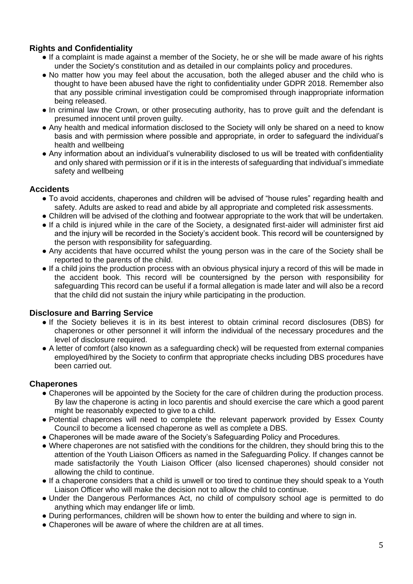## **Rights and Confidentiality**

- If a complaint is made against a member of the Society, he or she will be made aware of his rights under the Society's constitution and as detailed in our complaints policy and procedures.
- No matter how you may feel about the accusation, both the alleged abuser and the child who is thought to have been abused have the right to confidentiality under GDPR 2018. Remember also that any possible criminal investigation could be compromised through inappropriate information being released.
- In criminal law the Crown, or other prosecuting authority, has to prove guilt and the defendant is presumed innocent until proven guilty.
- Any health and medical information disclosed to the Society will only be shared on a need to know basis and with permission where possible and appropriate, in order to safeguard the individual's health and wellbeing
- Any information about an individual's vulnerability disclosed to us will be treated with confidentiality and only shared with permission or if it is in the interests of safeguarding that individual's immediate safety and wellbeing

## **Accidents**

- To avoid accidents, chaperones and children will be advised of "house rules" regarding health and safety. Adults are asked to read and abide by all appropriate and completed risk assessments.
- Children will be advised of the clothing and footwear appropriate to the work that will be undertaken.
- If a child is injured while in the care of the Society, a designated first-aider will administer first aid and the injury will be recorded in the Society's accident book. This record will be countersigned by the person with responsibility for safeguarding.
- Any accidents that have occurred whilst the young person was in the care of the Society shall be reported to the parents of the child.
- If a child joins the production process with an obvious physical injury a record of this will be made in the accident book. This record will be countersigned by the person with responsibility for safeguarding This record can be useful if a formal allegation is made later and will also be a record that the child did not sustain the injury while participating in the production.

## **Disclosure and Barring Service**

- If the Society believes it is in its best interest to obtain criminal record disclosures (DBS) for chaperones or other personnel it will inform the individual of the necessary procedures and the level of disclosure required.
- A letter of comfort (also known as a safeguarding check) will be requested from external companies employed/hired by the Society to confirm that appropriate checks including DBS procedures have been carried out.

## **Chaperones**

- Chaperones will be appointed by the Society for the care of children during the production process. By law the chaperone is acting in loco parentis and should exercise the care which a good parent might be reasonably expected to give to a child.
- Potential chaperones will need to complete the relevant paperwork provided by Essex County Council to become a licensed chaperone as well as complete a DBS.
- Chaperones will be made aware of the Society's Safeguarding Policy and Procedures.
- Where chaperones are not satisfied with the conditions for the children, they should bring this to the attention of the Youth Liaison Officers as named in the Safeguarding Policy. If changes cannot be made satisfactorily the Youth Liaison Officer (also licensed chaperones) should consider not allowing the child to continue.
- If a chaperone considers that a child is unwell or too tired to continue they should speak to a Youth Liaison Officer who will make the decision not to allow the child to continue.
- Under the Dangerous Performances Act, no child of compulsory school age is permitted to do anything which may endanger life or limb.
- During performances, children will be shown how to enter the building and where to sign in.
- Chaperones will be aware of where the children are at all times.